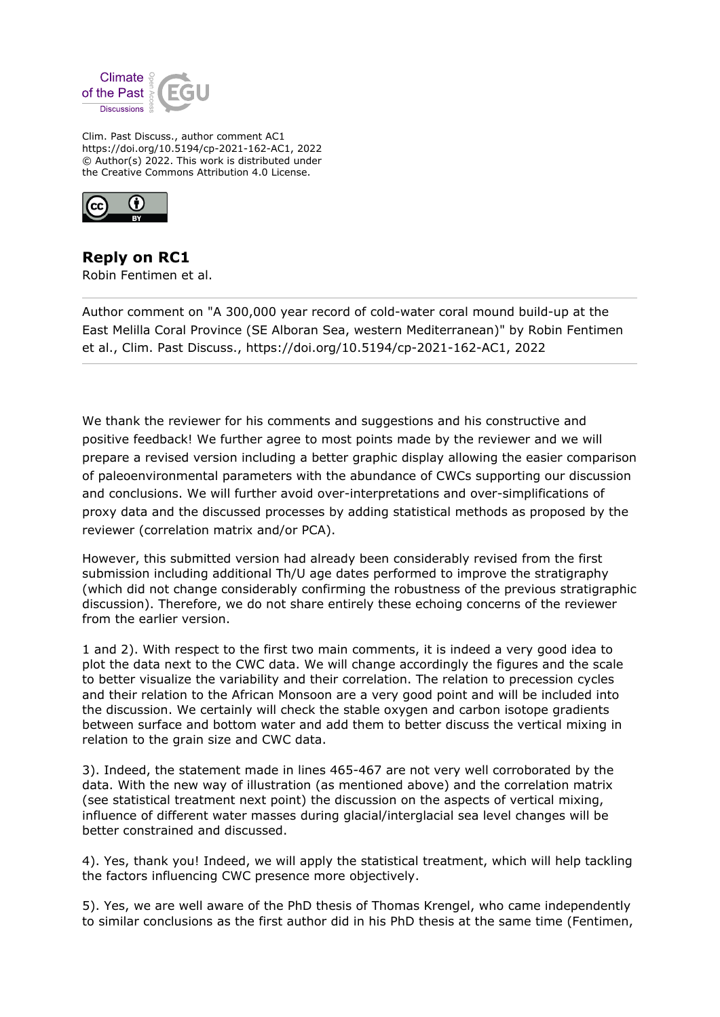

Clim. Past Discuss., author comment AC1 https://doi.org/10.5194/cp-2021-162-AC1, 2022 © Author(s) 2022. This work is distributed under the Creative Commons Attribution 4.0 License.



**Reply on RC1** Robin Fentimen et al.

Author comment on "A 300,000 year record of cold-water coral mound build-up at the East Melilla Coral Province (SE Alboran Sea, western Mediterranean)" by Robin Fentimen et al., Clim. Past Discuss., https://doi.org/10.5194/cp-2021-162-AC1, 2022

We thank the reviewer for his comments and suggestions and his constructive and positive feedback! We further agree to most points made by the reviewer and we will prepare a revised version including a better graphic display allowing the easier comparison of paleoenvironmental parameters with the abundance of CWCs supporting our discussion and conclusions. We will further avoid over-interpretations and over-simplifications of proxy data and the discussed processes by adding statistical methods as proposed by the reviewer (correlation matrix and/or PCA).

However, this submitted version had already been considerably revised from the first submission including additional Th/U age dates performed to improve the stratigraphy (which did not change considerably confirming the robustness of the previous stratigraphic discussion). Therefore, we do not share entirely these echoing concerns of the reviewer from the earlier version.

1 and 2). With respect to the first two main comments, it is indeed a very good idea to plot the data next to the CWC data. We will change accordingly the figures and the scale to better visualize the variability and their correlation. The relation to precession cycles and their relation to the African Monsoon are a very good point and will be included into the discussion. We certainly will check the stable oxygen and carbon isotope gradients between surface and bottom water and add them to better discuss the vertical mixing in relation to the grain size and CWC data.

3). Indeed, the statement made in lines 465-467 are not very well corroborated by the data. With the new way of illustration (as mentioned above) and the correlation matrix (see statistical treatment next point) the discussion on the aspects of vertical mixing, influence of different water masses during glacial/interglacial sea level changes will be better constrained and discussed.

4). Yes, thank you! Indeed, we will apply the statistical treatment, which will help tackling the factors influencing CWC presence more objectively.

5). Yes, we are well aware of the PhD thesis of Thomas Krengel, who came independently to similar conclusions as the first author did in his PhD thesis at the same time (Fentimen,